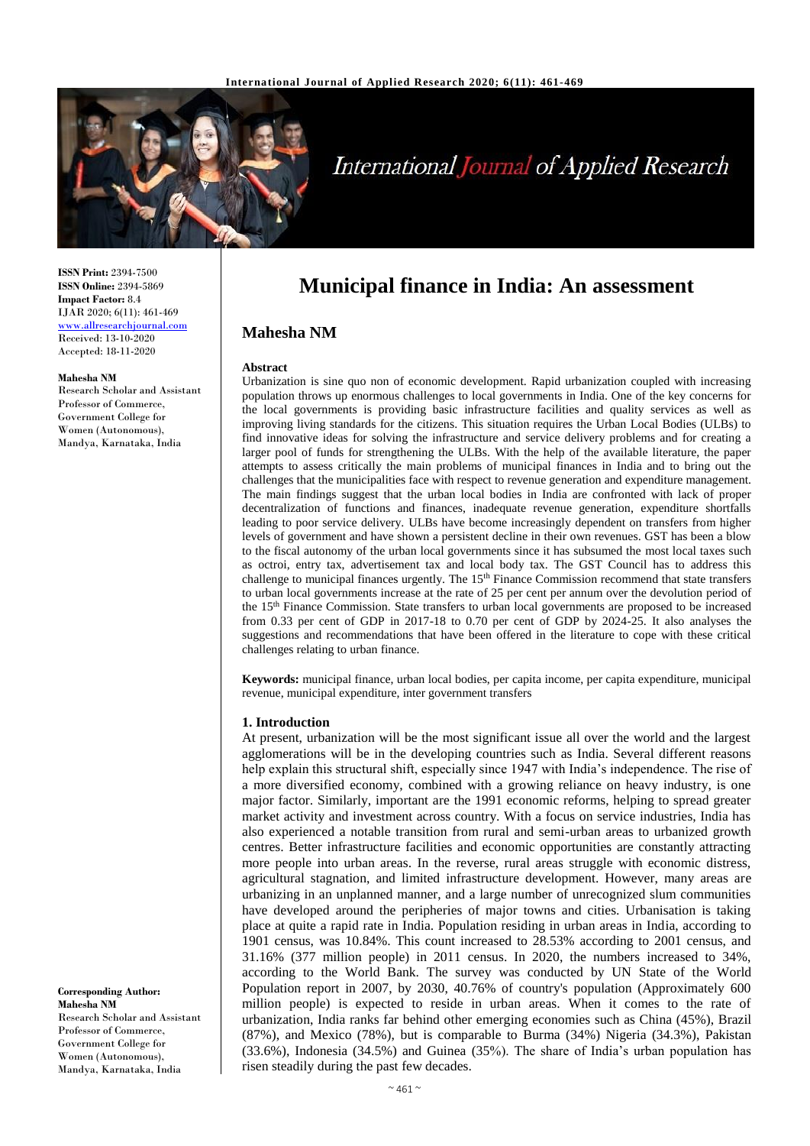

# **International Journal of Applied Research**

**ISSN Print:** 2394-7500 **ISSN Online:** 2394-5869 **Impact Factor:** 8.4 IJAR 2020; 6(11): 461-469 <www.allresearchjournal.com> Received: 13-10-2020 Accepted: 18-11-2020

#### **Mahesha NM**

Research Scholar and Assistant Professor of Commerce, Government College for Women (Autonomous), Mandya, Karnataka, India

**Corresponding Author: Mahesha NM** Research Scholar and Assistant Professor of Commerce, Government College for Women (Autonomous), Mandya, Karnataka, India

# **Municipal finance in India: An assessment**

#### **Mahesha NM**

#### **Abstract**

Urbanization is sine quo non of economic development. Rapid urbanization coupled with increasing population throws up enormous challenges to local governments in India. One of the key concerns for the local governments is providing basic infrastructure facilities and quality services as well as improving living standards for the citizens. This situation requires the Urban Local Bodies (ULBs) to find innovative ideas for solving the infrastructure and service delivery problems and for creating a larger pool of funds for strengthening the ULBs. With the help of the available literature, the paper attempts to assess critically the main problems of municipal finances in India and to bring out the challenges that the municipalities face with respect to revenue generation and expenditure management. The main findings suggest that the urban local bodies in India are confronted with lack of proper decentralization of functions and finances, inadequate revenue generation, expenditure shortfalls leading to poor service delivery. ULBs have become increasingly dependent on transfers from higher levels of government and have shown a persistent decline in their own revenues. GST has been a blow to the fiscal autonomy of the urban local governments since it has subsumed the most local taxes such as octroi, entry tax, advertisement tax and local body tax. The GST Council has to address this challenge to municipal finances urgently. The 15<sup>th</sup> Finance Commission recommend that state transfers to urban local governments increase at the rate of 25 per cent per annum over the devolution period of the 15th Finance Commission. State transfers to urban local governments are proposed to be increased from 0.33 per cent of GDP in 2017-18 to 0.70 per cent of GDP by 2024-25. It also analyses the suggestions and recommendations that have been offered in the literature to cope with these critical challenges relating to urban finance.

**Keywords:** municipal finance, urban local bodies, per capita income, per capita expenditure, municipal revenue, municipal expenditure, inter government transfers

#### **1. Introduction**

At present, urbanization will be the most significant issue all over the world and the largest agglomerations will be in the developing countries such as India. Several different reasons help explain this structural shift, especially since 1947 with India's independence. The rise of a more diversified economy, combined with a growing reliance on heavy industry, is one major factor. Similarly, important are the 1991 economic reforms, helping to spread greater market activity and investment across country. With a focus on service industries, India has also experienced a notable transition from rural and semi-urban areas to urbanized growth centres. Better infrastructure facilities and economic opportunities are constantly attracting more people into urban areas. In the reverse, rural areas struggle with economic distress, agricultural stagnation, and limited infrastructure development. However, many areas are urbanizing in an unplanned manner, and a large number of unrecognized slum communities have developed around the peripheries of major towns and cities. Urbanisation is taking place at quite a rapid rate in India. Population residing in urban areas in India, according to 1901 census, was 10.84%. This count increased to 28.53% according to 2001 census, and 31.16% (377 million people) in 2011 census. In 2020, the numbers increased to 34%, according to the World Bank. The survey was conducted by UN State of the World Population report in 2007, by 2030, 40.76% of country's population (Approximately 600 million people) is expected to reside in urban areas. When it comes to the rate of urbanization, India ranks far behind other emerging economies such as China (45%), Brazil (87%), and Mexico (78%), but is comparable to Burma (34%) Nigeria (34.3%), Pakistan (33.6%), Indonesia (34.5%) and Guinea (35%). The share of India's urban population has risen steadily during the past few decades.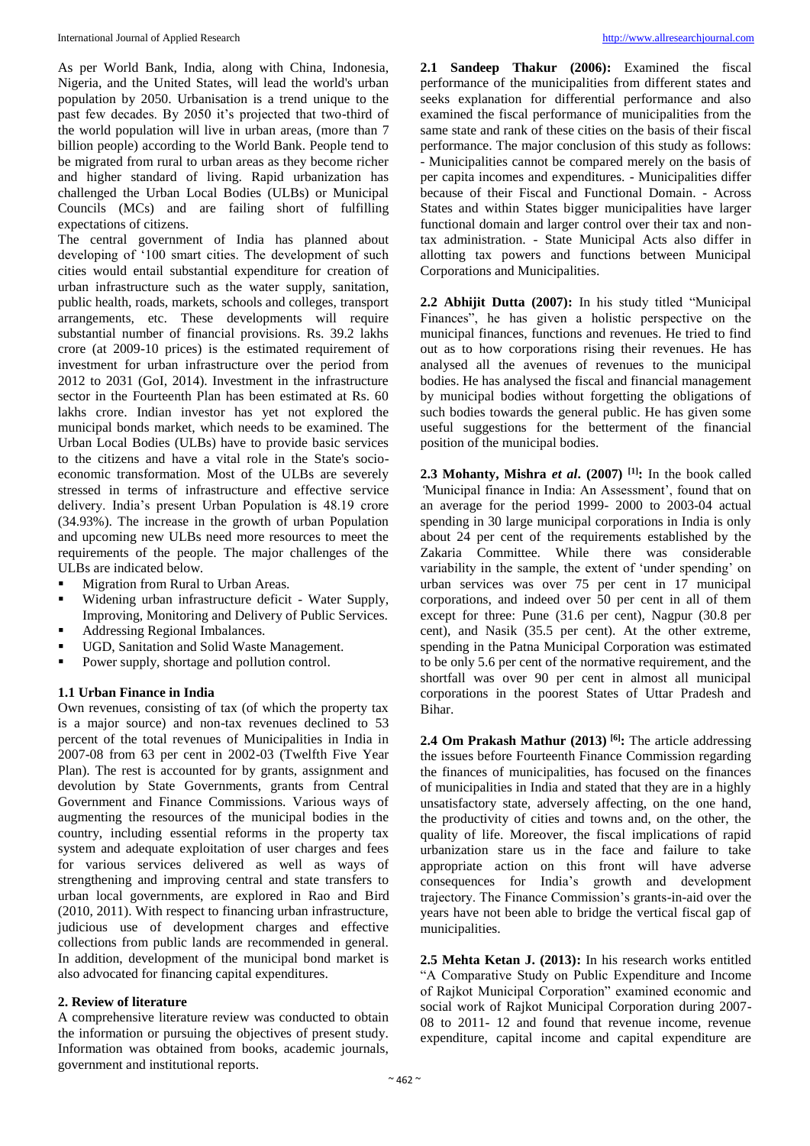As per World Bank, India, along with China, Indonesia, Nigeria, and the United States, will lead the world's urban population by 2050. Urbanisation is a trend unique to the past few decades. By 2050 it's projected that two-third of the world population will live in urban areas, (more than 7 billion people) according to the World Bank. People tend to be migrated from rural to urban areas as they become richer and higher standard of living. Rapid urbanization has challenged the Urban Local Bodies (ULBs) or Municipal Councils (MCs) and are failing short of fulfilling expectations of citizens.

The central government of India has planned about developing of '100 smart cities. The development of such cities would entail substantial expenditure for creation of urban infrastructure such as the water supply, sanitation, public health, roads, markets, schools and colleges, transport arrangements, etc. These developments will require substantial number of financial provisions. Rs. 39.2 lakhs crore (at 2009-10 prices) is the estimated requirement of investment for urban infrastructure over the period from 2012 to 2031 (GoI, 2014). Investment in the infrastructure sector in the Fourteenth Plan has been estimated at Rs. 60 lakhs crore. Indian investor has yet not explored the municipal bonds market, which needs to be examined. The Urban Local Bodies (ULBs) have to provide basic services to the citizens and have a vital role in the State's socioeconomic transformation. Most of the ULBs are severely stressed in terms of infrastructure and effective service delivery. India's present Urban Population is 48.19 crore (34.93%). The increase in the growth of urban Population and upcoming new ULBs need more resources to meet the requirements of the people. The major challenges of the ULBs are indicated below.

- Migration from Rural to Urban Areas.
- Widening urban infrastructure deficit Water Supply, Improving, Monitoring and Delivery of Public Services.
- Addressing Regional Imbalances.
- UGD, Sanitation and Solid Waste Management.
- Power supply, shortage and pollution control.

# **1.1 Urban Finance in India**

Own revenues, consisting of tax (of which the property tax is a major source) and non-tax revenues declined to 53 percent of the total revenues of Municipalities in India in 2007-08 from 63 per cent in 2002-03 (Twelfth Five Year Plan). The rest is accounted for by grants, assignment and devolution by State Governments, grants from Central Government and Finance Commissions. Various ways of augmenting the resources of the municipal bodies in the country, including essential reforms in the property tax system and adequate exploitation of user charges and fees for various services delivered as well as ways of strengthening and improving central and state transfers to urban local governments, are explored in Rao and Bird (2010, 2011). With respect to financing urban infrastructure, judicious use of development charges and effective collections from public lands are recommended in general. In addition, development of the municipal bond market is also advocated for financing capital expenditures.

# **2. Review of literature**

A comprehensive literature review was conducted to obtain the information or pursuing the objectives of present study. Information was obtained from books, academic journals, government and institutional reports.

**2.1 Sandeep Thakur (2006):** Examined the fiscal performance of the municipalities from different states and seeks explanation for differential performance and also examined the fiscal performance of municipalities from the same state and rank of these cities on the basis of their fiscal performance. The major conclusion of this study as follows: - Municipalities cannot be compared merely on the basis of per capita incomes and expenditures. - Municipalities differ because of their Fiscal and Functional Domain. - Across States and within States bigger municipalities have larger functional domain and larger control over their tax and nontax administration. - State Municipal Acts also differ in allotting tax powers and functions between Municipal Corporations and Municipalities.

**2.2 Abhijit Dutta (2007):** In his study titled "Municipal Finances", he has given a holistic perspective on the municipal finances, functions and revenues. He tried to find out as to how corporations rising their revenues. He has analysed all the avenues of revenues to the municipal bodies. He has analysed the fiscal and financial management by municipal bodies without forgetting the obligations of such bodies towards the general public. He has given some useful suggestions for the betterment of the financial position of the municipal bodies.

**2.3 Mohanty, Mishra** *et al***. (2007) [1]:** In the book called *'*Municipal finance in India: An Assessment', found that on an average for the period 1999- 2000 to 2003-04 actual spending in 30 large municipal corporations in India is only about 24 per cent of the requirements established by the Zakaria Committee. While there was considerable variability in the sample, the extent of 'under spending' on urban services was over 75 per cent in 17 municipal corporations, and indeed over 50 per cent in all of them except for three: Pune (31.6 per cent), Nagpur (30.8 per cent), and Nasik (35.5 per cent). At the other extreme, spending in the Patna Municipal Corporation was estimated to be only 5.6 per cent of the normative requirement, and the shortfall was over 90 per cent in almost all municipal corporations in the poorest States of Uttar Pradesh and Bihar.

**2.4 Om Prakash Mathur (2013) [6]:** The article addressing the issues before Fourteenth Finance Commission regarding the finances of municipalities, has focused on the finances of municipalities in India and stated that they are in a highly unsatisfactory state, adversely affecting, on the one hand, the productivity of cities and towns and, on the other, the quality of life. Moreover, the fiscal implications of rapid urbanization stare us in the face and failure to take appropriate action on this front will have adverse consequences for India's growth and development trajectory. The Finance Commission's grants-in-aid over the years have not been able to bridge the vertical fiscal gap of municipalities.

**2.5 Mehta Ketan J. (2013):** In his research works entitled "A Comparative Study on Public Expenditure and Income of Rajkot Municipal Corporation" examined economic and social work of Rajkot Municipal Corporation during 2007- 08 to 2011- 12 and found that revenue income, revenue expenditure, capital income and capital expenditure are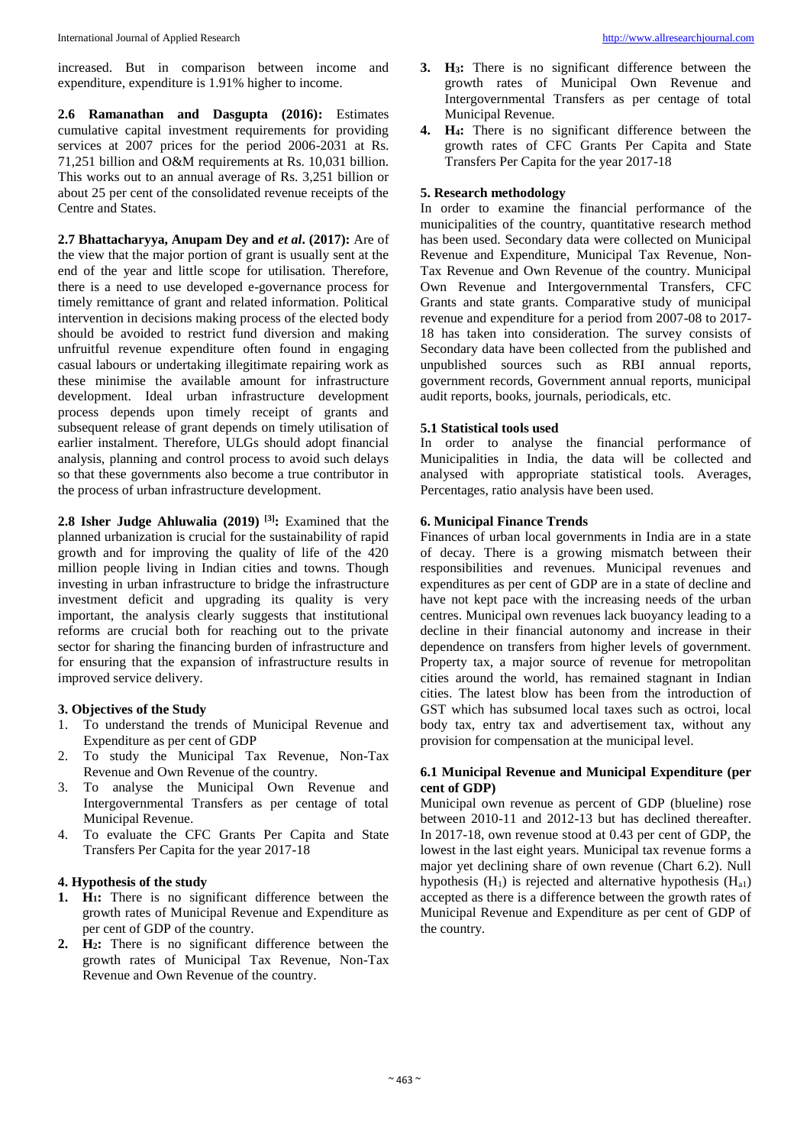increased. But in comparison between income and expenditure, expenditure is 1.91% higher to income.

**2.6 Ramanathan and Dasgupta (2016):** Estimates cumulative capital investment requirements for providing services at 2007 prices for the period 2006-2031 at Rs. 71,251 billion and O&M requirements at Rs. 10,031 billion. This works out to an annual average of Rs. 3,251 billion or about 25 per cent of the consolidated revenue receipts of the Centre and States.

**2.7 Bhattacharyya, Anupam Dey and** *et al***. (2017):** Are of the view that the major portion of grant is usually sent at the end of the year and little scope for utilisation. Therefore, there is a need to use developed e-governance process for timely remittance of grant and related information. Political intervention in decisions making process of the elected body should be avoided to restrict fund diversion and making unfruitful revenue expenditure often found in engaging casual labours or undertaking illegitimate repairing work as these minimise the available amount for infrastructure development. Ideal urban infrastructure development process depends upon timely receipt of grants and subsequent release of grant depends on timely utilisation of earlier instalment. Therefore, ULGs should adopt financial analysis, planning and control process to avoid such delays so that these governments also become a true contributor in the process of urban infrastructure development.

**2.8 Isher Judge Ahluwalia (2019) [3]:** Examined that the planned urbanization is crucial for the sustainability of rapid growth and for improving the quality of life of the 420 million people living in Indian cities and towns. Though investing in urban infrastructure to bridge the infrastructure investment deficit and upgrading its quality is very important, the analysis clearly suggests that institutional reforms are crucial both for reaching out to the private sector for sharing the financing burden of infrastructure and for ensuring that the expansion of infrastructure results in improved service delivery.

# **3. Objectives of the Study**

- 1. To understand the trends of Municipal Revenue and Expenditure as per cent of GDP
- 2. To study the Municipal Tax Revenue, Non-Tax Revenue and Own Revenue of the country.
- 3. To analyse the Municipal Own Revenue and Intergovernmental Transfers as per centage of total Municipal Revenue.
- 4. To evaluate the CFC Grants Per Capita and State Transfers Per Capita for the year 2017-18

#### **4. Hypothesis of the study**

- **1. H1:** There is no significant difference between the growth rates of Municipal Revenue and Expenditure as per cent of GDP of the country.
- **2. H2:** There is no significant difference between the growth rates of Municipal Tax Revenue, Non-Tax Revenue and Own Revenue of the country.
- **3. H3:** There is no significant difference between the growth rates of Municipal Own Revenue and Intergovernmental Transfers as per centage of total Municipal Revenue.
- **4. H4:** There is no significant difference between the growth rates of CFC Grants Per Capita and State Transfers Per Capita for the year 2017-18

#### **5. Research methodology**

In order to examine the financial performance of the municipalities of the country, quantitative research method has been used. Secondary data were collected on Municipal Revenue and Expenditure, Municipal Tax Revenue, Non-Tax Revenue and Own Revenue of the country. Municipal Own Revenue and Intergovernmental Transfers, CFC Grants and state grants. Comparative study of municipal revenue and expenditure for a period from 2007-08 to 2017- 18 has taken into consideration. The survey consists of Secondary data have been collected from the published and unpublished sources such as RBI annual reports, government records, Government annual reports, municipal audit reports, books, journals, periodicals, etc.

#### **5.1 Statistical tools used**

In order to analyse the financial performance of Municipalities in India, the data will be collected and analysed with appropriate statistical tools. Averages, Percentages, ratio analysis have been used.

# **6. Municipal Finance Trends**

Finances of urban local governments in India are in a state of decay. There is a growing mismatch between their responsibilities and revenues. Municipal revenues and expenditures as per cent of GDP are in a state of decline and have not kept pace with the increasing needs of the urban centres. Municipal own revenues lack buoyancy leading to a decline in their financial autonomy and increase in their dependence on transfers from higher levels of government. Property tax, a major source of revenue for metropolitan cities around the world, has remained stagnant in Indian cities. The latest blow has been from the introduction of GST which has subsumed local taxes such as octroi, local body tax, entry tax and advertisement tax, without any provision for compensation at the municipal level.

# **6.1 Municipal Revenue and Municipal Expenditure (per cent of GDP)**

Municipal own revenue as percent of GDP (blueline) rose between 2010-11 and 2012-13 but has declined thereafter. In 2017-18, own revenue stood at 0.43 per cent of GDP, the lowest in the last eight years. Municipal tax revenue forms a major yet declining share of own revenue (Chart 6.2). Null hypothesis  $(H_1)$  is rejected and alternative hypothesis  $(H_{a1})$ accepted as there is a difference between the growth rates of Municipal Revenue and Expenditure as per cent of GDP of the country.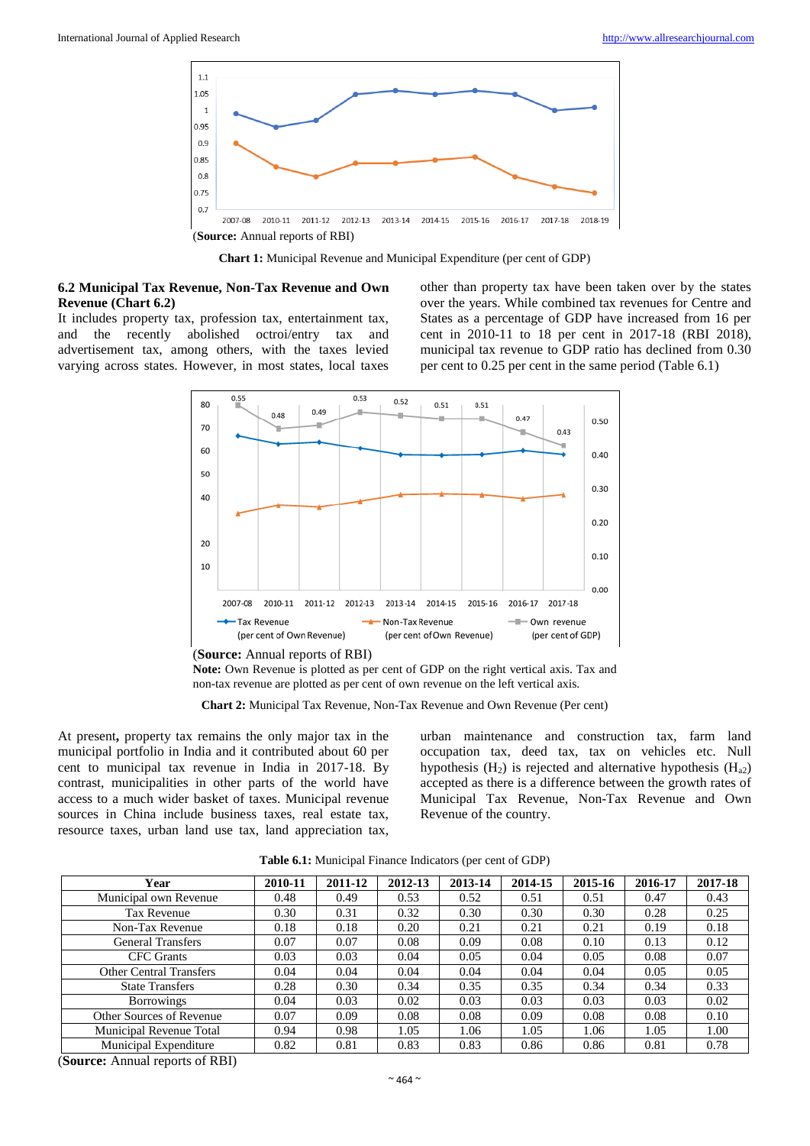

**Chart 1:** Municipal Revenue and Municipal Expenditure (per cent of GDP)

#### **6.2 Municipal Tax Revenue, Non-Tax Revenue and Own Revenue (Chart 6.2)**

It includes property tax, profession tax, entertainment tax, and the recently abolished octroi/entry tax and advertisement tax, among others, with the taxes levied varying across states. However, in most states, local taxes other than property tax have been taken over by the states over the years. While combined tax revenues for Centre and States as a percentage of GDP have increased from 16 per cent in 2010-11 to 18 per cent in 2017-18 (RBI 2018), municipal tax revenue to GDP ratio has declined from 0.30 per cent to 0.25 per cent in the same period (Table 6.1)



(**Source:** Annual reports of RBI)

**Note:** Own Revenue is plotted as per cent of GDP on the right vertical axis. Tax and non-tax revenue are plotted as per cent of own revenue on the left vertical axis.

**Chart 2:** Municipal Tax Revenue, Non-Tax Revenue and Own Revenue (Per cent)

At present**,** property tax remains the only major tax in the municipal portfolio in India and it contributed about 60 per cent to municipal tax revenue in India in 2017-18. By contrast, municipalities in other parts of the world have access to a much wider basket of taxes. Municipal revenue sources in China include business taxes, real estate tax, resource taxes, urban land use tax, land appreciation tax,

urban maintenance and construction tax, farm land occupation tax, deed tax, tax on vehicles etc. Null hypothesis  $(H_2)$  is rejected and alternative hypothesis  $(H_{a2})$ accepted as there is a difference between the growth rates of Municipal Tax Revenue, Non-Tax Revenue and Own Revenue of the country.

| Table 6.1: Municipal Finance Indicators (per cent of GDP) |  |  |  |  |  |
|-----------------------------------------------------------|--|--|--|--|--|
|-----------------------------------------------------------|--|--|--|--|--|

| Year                           | 2010-11 | 2011-12 | 2012-13 | 2013-14 | 2014-15 | 2015-16 | 2016-17 | 2017-18 |
|--------------------------------|---------|---------|---------|---------|---------|---------|---------|---------|
| Municipal own Revenue          | 0.48    | 0.49    | 0.53    | 0.52    | 0.51    | 0.51    | 0.47    | 0.43    |
| Tax Revenue                    | 0.30    | 0.31    | 0.32    | 0.30    | 0.30    | 0.30    | 0.28    | 0.25    |
| Non-Tax Revenue                | 0.18    | 0.18    | 0.20    | 0.21    | 0.21    | 0.21    | 0.19    | 0.18    |
| <b>General Transfers</b>       | 0.07    | 0.07    | 0.08    | 0.09    | 0.08    | 0.10    | 0.13    | 0.12    |
| <b>CFC</b> Grants              | 0.03    | 0.03    | 0.04    | 0.05    | 0.04    | 0.05    | 0.08    | 0.07    |
| <b>Other Central Transfers</b> | 0.04    | 0.04    | 0.04    | 0.04    | 0.04    | 0.04    | 0.05    | 0.05    |
| <b>State Transfers</b>         | 0.28    | 0.30    | 0.34    | 0.35    | 0.35    | 0.34    | 0.34    | 0.33    |
| <b>Borrowings</b>              | 0.04    | 0.03    | 0.02    | 0.03    | 0.03    | 0.03    | 0.03    | 0.02    |
| Other Sources of Revenue       | 0.07    | 0.09    | 0.08    | 0.08    | 0.09    | 0.08    | 0.08    | 0.10    |
| Municipal Revenue Total        | 0.94    | 0.98    | 1.05    | 1.06    | 1.05    | 1.06    | 1.05    | 1.00    |
| Municipal Expenditure          | 0.82    | 0.81    | 0.83    | 0.83    | 0.86    | 0.86    | 0.81    | 0.78    |

(**Source:** Annual reports of RBI)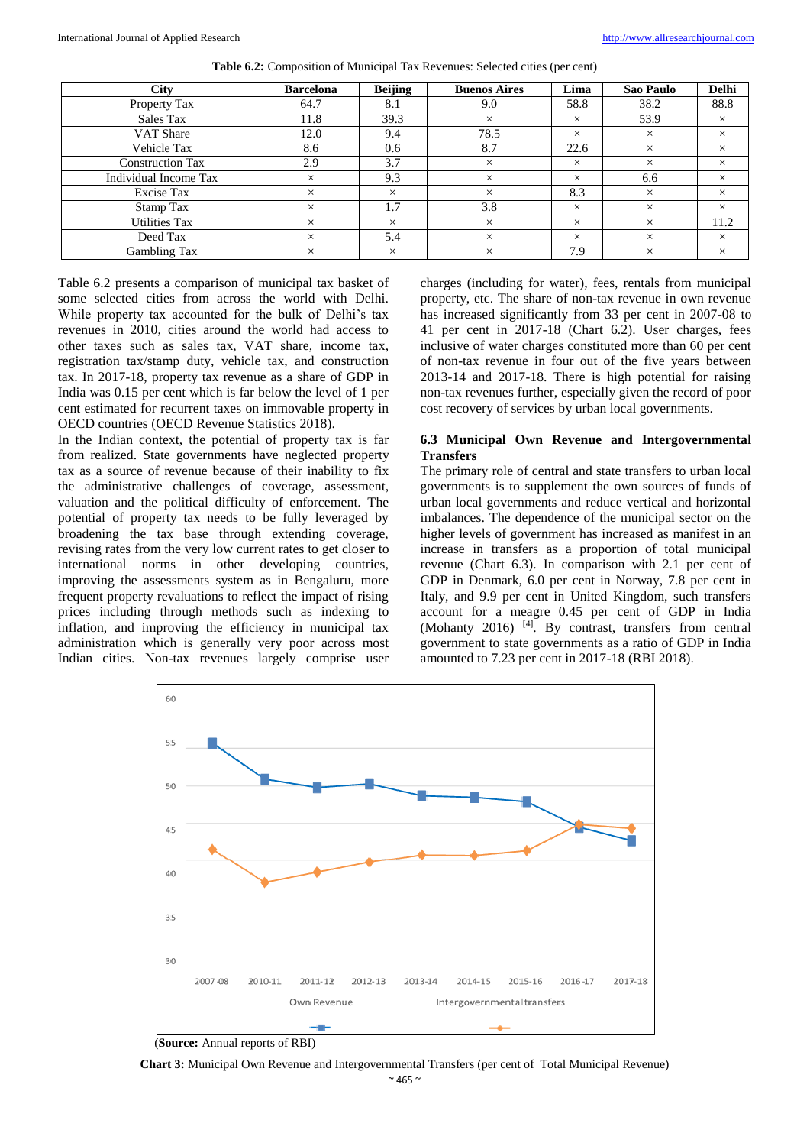| <b>City</b>             | <b>Barcelona</b> | <b>Beijing</b> | <b>Buenos Aires</b> | Lima     | Sao Paulo | <b>Delhi</b> |
|-------------------------|------------------|----------------|---------------------|----------|-----------|--------------|
| <b>Property Tax</b>     | 64.7             | 8.1            | 9.0                 | 58.8     | 38.2      | 88.8         |
| Sales Tax               | 11.8             | 39.3           | $\times$            | $\times$ | 53.9      | $\times$     |
| <b>VAT Share</b>        | 12.0             | 9.4            | 78.5                | $\times$ | $\times$  | $\times$     |
| Vehicle Tax             | 8.6              | 0.6            | 8.7                 | 22.6     | $\times$  | $\times$     |
| <b>Construction Tax</b> | 2.9              | 3.7            | $\times$            | $\times$ | $\times$  | $\times$     |
| Individual Income Tax   | $\times$         | 9.3            | $\times$            | $\times$ | 6.6       | $\times$     |
| <b>Excise Tax</b>       | $\times$         | $\times$       | $\times$            | 8.3      | $\times$  | $\times$     |
| Stamp Tax               | $\times$         | 1.7            | 3.8                 | $\times$ | $\times$  | $\times$     |
| <b>Utilities Tax</b>    | $\times$         | $\times$       | $\times$            | $\times$ | $\times$  | 11.2         |
| Deed Tax                | $\times$         | 5.4            | $\times$            | $\times$ | $\times$  | $\times$     |
| Gambling Tax            | $\times$         | $\times$       | $\times$            | 7.9      | $\times$  | $\times$     |

**Table 6.2:** Composition of Municipal Tax Revenues: Selected cities (per cent)

Table 6.2 presents a comparison of municipal tax basket of some selected cities from across the world with Delhi. While property tax accounted for the bulk of Delhi's tax revenues in 2010, cities around the world had access to other taxes such as sales tax, VAT share, income tax, registration tax/stamp duty, vehicle tax, and construction tax. In 2017-18, property tax revenue as a share of GDP in India was 0.15 per cent which is far below the level of 1 per cent estimated for recurrent taxes on immovable property in OECD countries (OECD Revenue Statistics 2018).

In the Indian context, the potential of property tax is far from realized. State governments have neglected property tax as a source of revenue because of their inability to fix the administrative challenges of coverage, assessment, valuation and the political difficulty of enforcement. The potential of property tax needs to be fully leveraged by broadening the tax base through extending coverage, revising rates from the very low current rates to get closer to international norms in other developing countries, improving the assessments system as in Bengaluru, more frequent property revaluations to reflect the impact of rising prices including through methods such as indexing to inflation, and improving the efficiency in municipal tax administration which is generally very poor across most Indian cities. Non-tax revenues largely comprise user charges (including for water), fees, rentals from municipal property, etc. The share of non-tax revenue in own revenue has increased significantly from 33 per cent in 2007-08 to 41 per cent in 2017-18 (Chart 6.2). User charges, fees inclusive of water charges constituted more than 60 per cent of non-tax revenue in four out of the five years between 2013-14 and 2017-18. There is high potential for raising non-tax revenues further, especially given the record of poor cost recovery of services by urban local governments.

# **6.3 Municipal Own Revenue and Intergovernmental Transfers**

The primary role of central and state transfers to urban local governments is to supplement the own sources of funds of urban local governments and reduce vertical and horizontal imbalances. The dependence of the municipal sector on the higher levels of government has increased as manifest in an increase in transfers as a proportion of total municipal revenue (Chart 6.3). In comparison with 2.1 per cent of GDP in Denmark, 6.0 per cent in Norway, 7.8 per cent in Italy, and 9.9 per cent in United Kingdom, such transfers account for a meagre 0.45 per cent of GDP in India (Mohanty 2016) <sup>[4]</sup>. By contrast, transfers from central government to state governments as a ratio of GDP in India amounted to 7.23 per cent in 2017-18 (RBI 2018).



(**Source:** Annual reports of RBI)

**Chart 3:** Municipal Own Revenue and Intergovernmental Transfers (per cent of Total Municipal Revenue)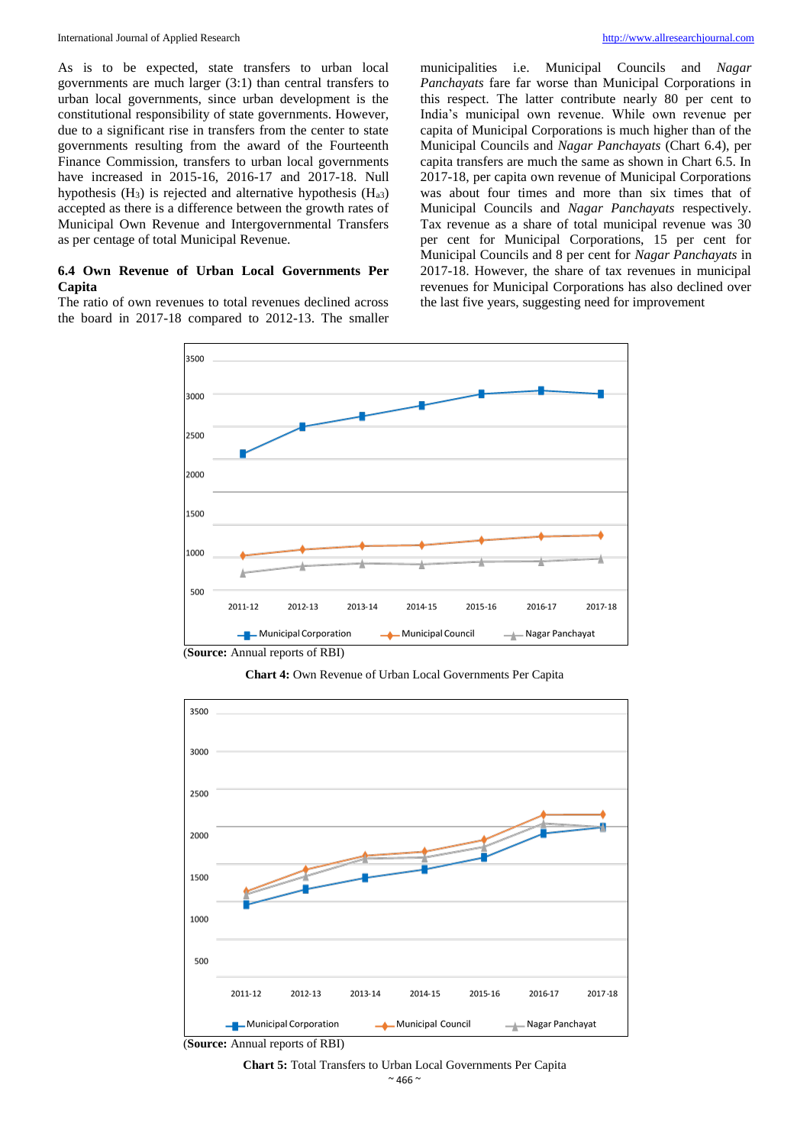As is to be expected, state transfers to urban local governments are much larger (3:1) than central transfers to urban local governments, since urban development is the constitutional responsibility of state governments. However, due to a significant rise in transfers from the center to state governments resulting from the award of the Fourteenth Finance Commission, transfers to urban local governments have increased in 2015-16, 2016-17 and 2017-18. Null hypothesis  $(H_3)$  is rejected and alternative hypothesis  $(H_{a3})$ accepted as there is a difference between the growth rates of Municipal Own Revenue and Intergovernmental Transfers as per centage of total Municipal Revenue.

#### **6.4 Own Revenue of Urban Local Governments Per Capita**

The ratio of own revenues to total revenues declined across the board in 2017-18 compared to 2012-13. The smaller municipalities i.e. Municipal Councils and *Nagar Panchayats* fare far worse than Municipal Corporations in this respect. The latter contribute nearly 80 per cent to India's municipal own revenue. While own revenue per capita of Municipal Corporations is much higher than of the Municipal Councils and *Nagar Panchayats* (Chart 6.4), per capita transfers are much the same as shown in Chart 6.5. In 2017-18, per capita own revenue of Municipal Corporations was about four times and more than six times that of Municipal Councils and *Nagar Panchayats* respectively. Tax revenue as a share of total municipal revenue was 30 per cent for Municipal Corporations, 15 per cent for Municipal Councils and 8 per cent for *Nagar Panchayats* in 2017-18. However, the share of tax revenues in municipal revenues for Municipal Corporations has also declined over the last five years, suggesting need for improvement



(**Source:** Annual reports of RBI)

**Chart 4:** Own Revenue of Urban Local Governments Per Capita



(**Source:** Annual reports of RBI)

#### $~^{\sim}$  466  $~^{\sim}$ **Chart 5:** Total Transfers to Urban Local Governments Per Capita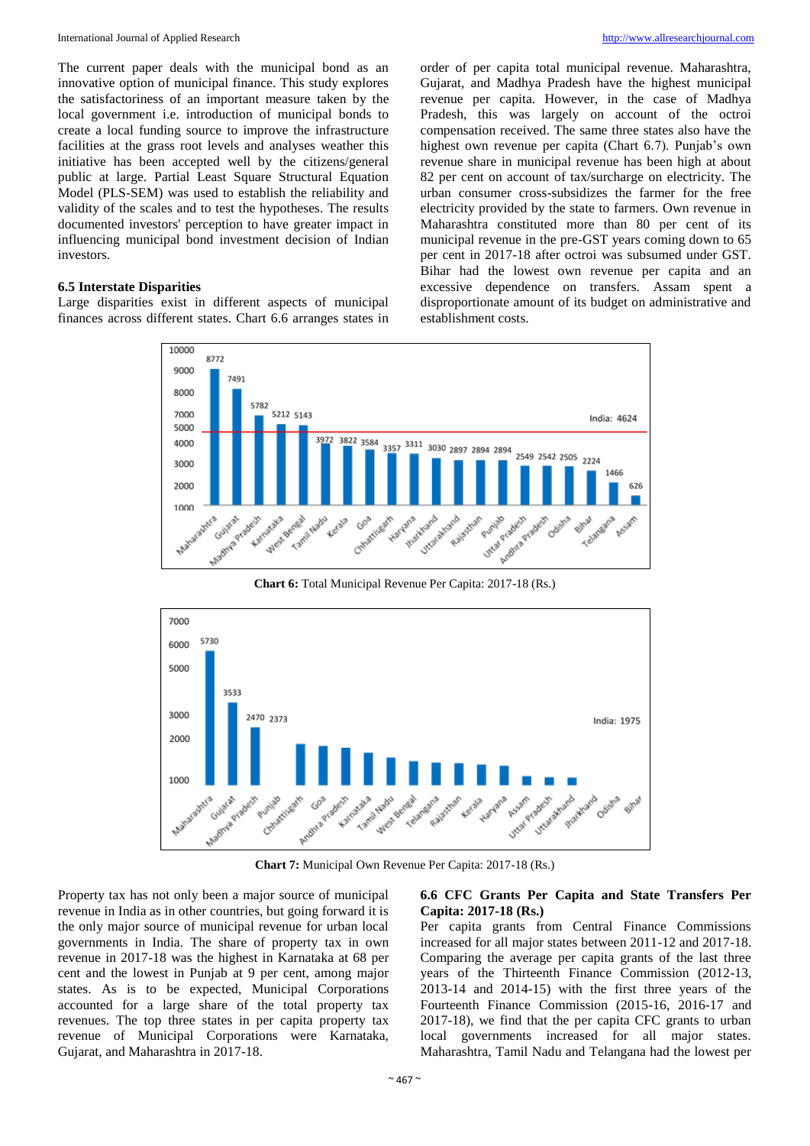The current paper deals with the municipal bond as an innovative option of municipal finance. This study explores the satisfactoriness of an important measure taken by the local government i.e. introduction of municipal bonds to create a local funding source to improve the infrastructure facilities at the grass root levels and analyses weather this initiative has been accepted well by the citizens/general public at large. Partial Least Square Structural Equation Model (PLS-SEM) was used to establish the reliability and validity of the scales and to test the hypotheses. The results documented investors' perception to have greater impact in influencing municipal bond investment decision of Indian investors.

#### **6.5 Interstate Disparities**

Large disparities exist in different aspects of municipal finances across different states. Chart 6.6 arranges states in

order of per capita total municipal revenue. Maharashtra, Gujarat, and Madhya Pradesh have the highest municipal revenue per capita. However, in the case of Madhya Pradesh, this was largely on account of the octroi compensation received. The same three states also have the highest own revenue per capita (Chart 6.7). Punjab's own revenue share in municipal revenue has been high at about 82 per cent on account of tax/surcharge on electricity. The urban consumer cross-subsidizes the farmer for the free electricity provided by the state to farmers. Own revenue in Maharashtra constituted more than 80 per cent of its municipal revenue in the pre-GST years coming down to 65 per cent in 2017-18 after octroi was subsumed under GST. Bihar had the lowest own revenue per capita and an excessive dependence on transfers. Assam spent a disproportionate amount of its budget on administrative and establishment costs.



**Chart 6:** Total Municipal Revenue Per Capita: 2017-18 (Rs.)



**Chart 7:** Municipal Own Revenue Per Capita: 2017-18 (Rs.)

Property tax has not only been a major source of municipal revenue in India as in other countries, but going forward it is the only major source of municipal revenue for urban local governments in India. The share of property tax in own revenue in 2017-18 was the highest in Karnataka at 68 per cent and the lowest in Punjab at 9 per cent, among major states. As is to be expected, Municipal Corporations accounted for a large share of the total property tax revenues. The top three states in per capita property tax revenue of Municipal Corporations were Karnataka, Gujarat, and Maharashtra in 2017-18.

#### **6.6 CFC Grants Per Capita and State Transfers Per Capita: 2017-18 (Rs.)**

Per capita grants from Central Finance Commissions increased for all major states between 2011-12 and 2017-18. Comparing the average per capita grants of the last three years of the Thirteenth Finance Commission (2012-13, 2013-14 and 2014-15) with the first three years of the Fourteenth Finance Commission (2015-16, 2016-17 and 2017-18), we find that the per capita CFC grants to urban local governments increased for all major states. Maharashtra, Tamil Nadu and Telangana had the lowest per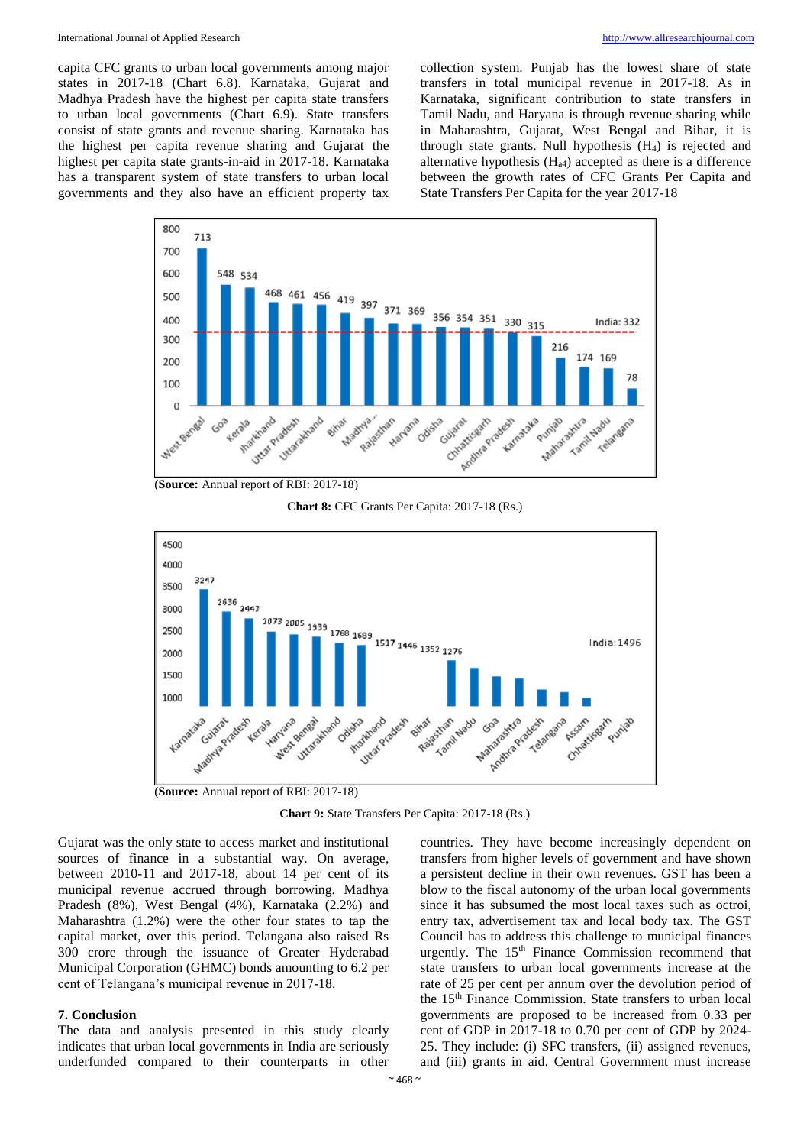capita CFC grants to urban local governments among major states in 2017-18 (Chart 6.8). Karnataka, Gujarat and Madhya Pradesh have the highest per capita state transfers to urban local governments (Chart 6.9). State transfers consist of state grants and revenue sharing. Karnataka has the highest per capita revenue sharing and Gujarat the highest per capita state grants-in-aid in 2017-18. Karnataka has a transparent system of state transfers to urban local governments and they also have an efficient property tax collection system. Punjab has the lowest share of state transfers in total municipal revenue in 2017-18. As in Karnataka, significant contribution to state transfers in Tamil Nadu, and Haryana is through revenue sharing while in Maharashtra, Gujarat, West Bengal and Bihar, it is through state grants. Null hypothesis  $(H<sub>4</sub>)$  is rejected and alternative hypothesis  $(H<sub>a4</sub>)$  accepted as there is a difference between the growth rates of CFC Grants Per Capita and State Transfers Per Capita for the year 2017-18



(**Source:** Annual report of RBI: 2017-18)

**Chart 8:** CFC Grants Per Capita: 2017-18 (Rs.)



(**Source:** Annual report of RBI: 2017-18)

**Chart 9:** State Transfers Per Capita: 2017-18 (Rs.)

Gujarat was the only state to access market and institutional sources of finance in a substantial way. On average, between 2010-11 and 2017-18, about 14 per cent of its municipal revenue accrued through borrowing. Madhya Pradesh (8%), West Bengal (4%), Karnataka (2.2%) and Maharashtra (1.2%) were the other four states to tap the capital market, over this period. Telangana also raised Rs 300 crore through the issuance of Greater Hyderabad Municipal Corporation (GHMC) bonds amounting to 6.2 per cent of Telangana's municipal revenue in 2017-18.

#### **7. Conclusion**

The data and analysis presented in this study clearly indicates that urban local governments in India are seriously underfunded compared to their counterparts in other

countries. They have become increasingly dependent on transfers from higher levels of government and have shown a persistent decline in their own revenues. GST has been a blow to the fiscal autonomy of the urban local governments since it has subsumed the most local taxes such as octroi, entry tax, advertisement tax and local body tax. The GST Council has to address this challenge to municipal finances urgently. The  $15<sup>th</sup>$  Finance Commission recommend that state transfers to urban local governments increase at the rate of 25 per cent per annum over the devolution period of the 15th Finance Commission. State transfers to urban local governments are proposed to be increased from 0.33 per cent of GDP in 2017-18 to 0.70 per cent of GDP by 2024- 25. They include: (i) SFC transfers, (ii) assigned revenues, and (iii) grants in aid. Central Government must increase